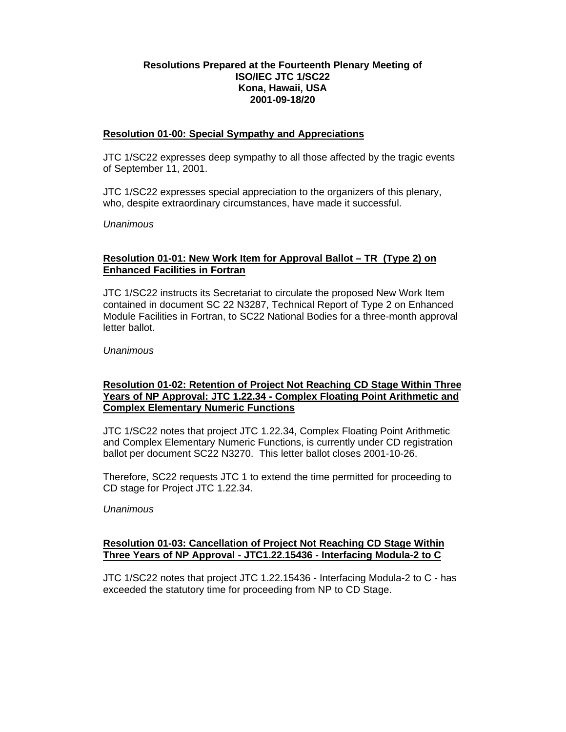## **Resolutions Prepared at the Fourteenth Plenary Meeting of ISO/IEC JTC 1/SC22 Kona, Hawaii, USA 2001-09-18/20**

#### **Resolution 01-00: Special Sympathy and Appreciations**

JTC 1/SC22 expresses deep sympathy to all those affected by the tragic events of September 11, 2001.

JTC 1/SC22 expresses special appreciation to the organizers of this plenary, who, despite extraordinary circumstances, have made it successful.

*Unanimous*

### **Resolution 01-01: New Work Item for Approval Ballot – TR (Type 2) on Enhanced Facilities in Fortran**

JTC 1/SC22 instructs its Secretariat to circulate the proposed New Work Item contained in document SC 22 N3287, Technical Report of Type 2 on Enhanced Module Facilities in Fortran, to SC22 National Bodies for a three-month approval letter ballot.

*Unanimous*

### **Resolution 01-02: Retention of Project Not Reaching CD Stage Within Three Years of NP Approval: JTC 1.22.34 - Complex Floating Point Arithmetic and Complex Elementary Numeric Functions**

JTC 1/SC22 notes that project JTC 1.22.34, Complex Floating Point Arithmetic and Complex Elementary Numeric Functions, is currently under CD registration ballot per document SC22 N3270. This letter ballot closes 2001-10-26.

Therefore, SC22 requests JTC 1 to extend the time permitted for proceeding to CD stage for Project JTC 1.22.34.

*Unanimous*

### **Resolution 01-03: Cancellation of Project Not Reaching CD Stage Within Three Years of NP Approval - JTC1.22.15436 - Interfacing Modula-2 to C**

JTC 1/SC22 notes that project JTC 1.22.15436 - Interfacing Modula-2 to C - has exceeded the statutory time for proceeding from NP to CD Stage.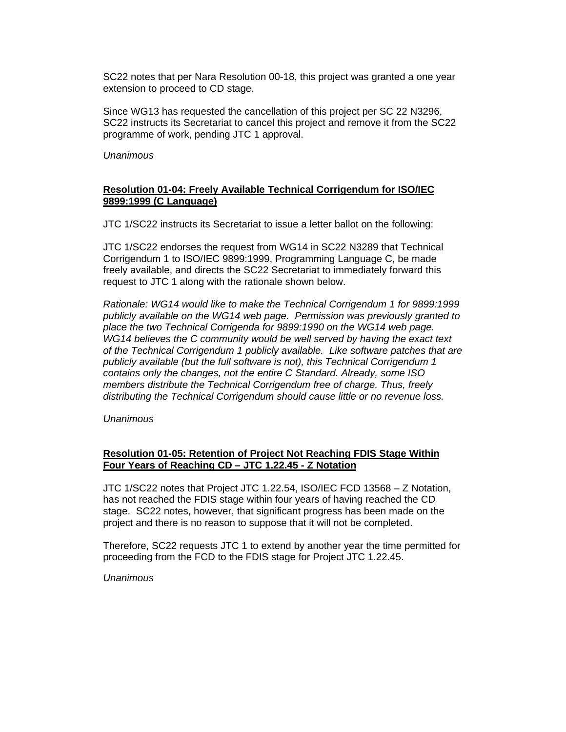SC22 notes that per Nara Resolution 00-18, this project was granted a one year extension to proceed to CD stage.

Since WG13 has requested the cancellation of this project per SC 22 N3296, SC22 instructs its Secretariat to cancel this project and remove it from the SC22 programme of work, pending JTC 1 approval.

*Unanimous*

### **Resolution 01-04: Freely Available Technical Corrigendum for ISO/IEC 9899:1999 (C Language)**

JTC 1/SC22 instructs its Secretariat to issue a letter ballot on the following:

JTC 1/SC22 endorses the request from WG14 in SC22 N3289 that Technical Corrigendum 1 to ISO/IEC 9899:1999, Programming Language C, be made freely available, and directs the SC22 Secretariat to immediately forward this request to JTC 1 along with the rationale shown below.

*Rationale: WG14 would like to make the Technical Corrigendum 1 for 9899:1999 publicly available on the WG14 web page. Permission was previously granted to place the two Technical Corrigenda for 9899:1990 on the WG14 web page. WG14 believes the C community would be well served by having the exact text of the Technical Corrigendum 1 publicly available. Like software patches that are publicly available (but the full software is not), this Technical Corrigendum 1 contains only the changes, not the entire C Standard. Already, some ISO members distribute the Technical Corrigendum free of charge. Thus, freely distributing the Technical Corrigendum should cause little or no revenue loss.*

*Unanimous*

## **Resolution 01-05: Retention of Project Not Reaching FDIS Stage Within Four Years of Reaching CD – JTC 1.22.45 - Z Notation**

JTC 1/SC22 notes that Project JTC 1.22.54, ISO/IEC FCD 13568 – Z Notation, has not reached the FDIS stage within four years of having reached the CD stage. SC22 notes, however, that significant progress has been made on the project and there is no reason to suppose that it will not be completed.

Therefore, SC22 requests JTC 1 to extend by another year the time permitted for proceeding from the FCD to the FDIS stage for Project JTC 1.22.45.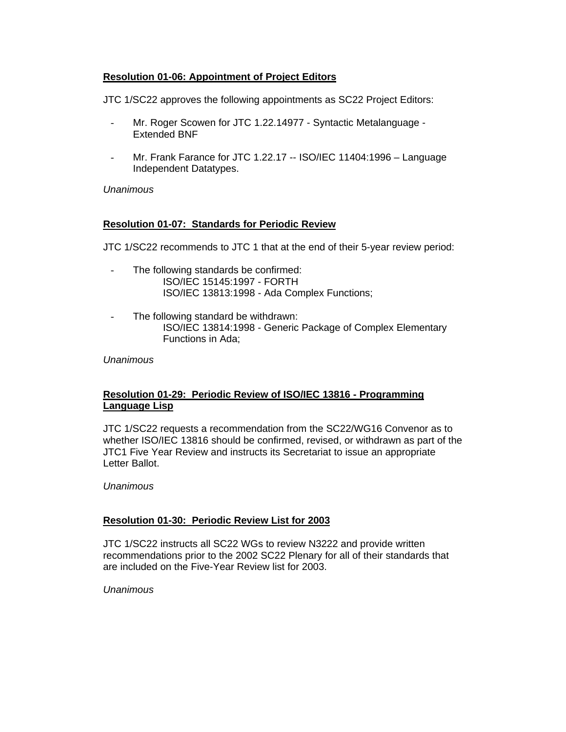### **Resolution 01-06: Appointment of Project Editors**

JTC 1/SC22 approves the following appointments as SC22 Project Editors:

- Mr. Roger Scowen for JTC 1.22.14977 Syntactic Metalanguage Extended BNF
- Mr. Frank Farance for JTC 1.22.17 -- ISO/IEC 11404:1996 Language Independent Datatypes.

#### *Unanimous*

## **Resolution 01-07: Standards for Periodic Review**

JTC 1/SC22 recommends to JTC 1 that at the end of their 5-year review period:

- The following standards be confirmed: ISO/IEC 15145:1997 - FORTH ISO/IEC 13813:1998 - Ada Complex Functions;
- The following standard be withdrawn: ISO/IEC 13814:1998 - Generic Package of Complex Elementary Functions in Ada;

### *Unanimous*

### **Resolution 01-29: Periodic Review of ISO/IEC 13816 - Programming Language Lisp**

JTC 1/SC22 requests a recommendation from the SC22/WG16 Convenor as to whether ISO/IEC 13816 should be confirmed, revised, or withdrawn as part of the JTC1 Five Year Review and instructs its Secretariat to issue an appropriate Letter Ballot.

*Unanimous*

### **Resolution 01-30: Periodic Review List for 2003**

JTC 1/SC22 instructs all SC22 WGs to review N3222 and provide written recommendations prior to the 2002 SC22 Plenary for all of their standards that are included on the Five-Year Review list for 2003.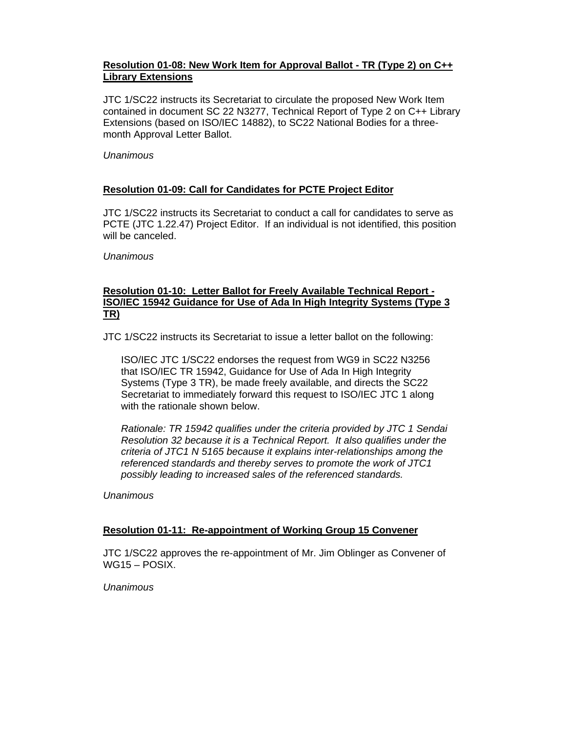## **Resolution 01-08: New Work Item for Approval Ballot - TR (Type 2) on C++ Library Extensions**

JTC 1/SC22 instructs its Secretariat to circulate the proposed New Work Item contained in document SC 22 N3277, Technical Report of Type 2 on C++ Library Extensions (based on ISO/IEC 14882), to SC22 National Bodies for a threemonth Approval Letter Ballot.

### *Unanimous*

# **Resolution 01-09: Call for Candidates for PCTE Project Editor**

JTC 1/SC22 instructs its Secretariat to conduct a call for candidates to serve as PCTE (JTC 1.22.47) Project Editor. If an individual is not identified, this position will be canceled.

### *Unanimous*

### **Resolution 01-10: Letter Ballot for Freely Available Technical Report - ISO/IEC 15942 Guidance for Use of Ada In High Integrity Systems (Type 3 TR)**

JTC 1/SC22 instructs its Secretariat to issue a letter ballot on the following:

ISO/IEC JTC 1/SC22 endorses the request from WG9 in SC22 N3256 that ISO/IEC TR 15942, Guidance for Use of Ada In High Integrity Systems (Type 3 TR), be made freely available, and directs the SC22 Secretariat to immediately forward this request to ISO/IEC JTC 1 along with the rationale shown below.

*Rationale: TR 15942 qualifies under the criteria provided by JTC 1 Sendai Resolution 32 because it is a Technical Report. It also qualifies under the criteria of JTC1 N 5165 because it explains inter-relationships among the referenced standards and thereby serves to promote the work of JTC1 possibly leading to increased sales of the referenced standards.*

*Unanimous*

# **Resolution 01-11: Re-appointment of Working Group 15 Convener**

JTC 1/SC22 approves the re-appointment of Mr. Jim Oblinger as Convener of WG15 – POSIX.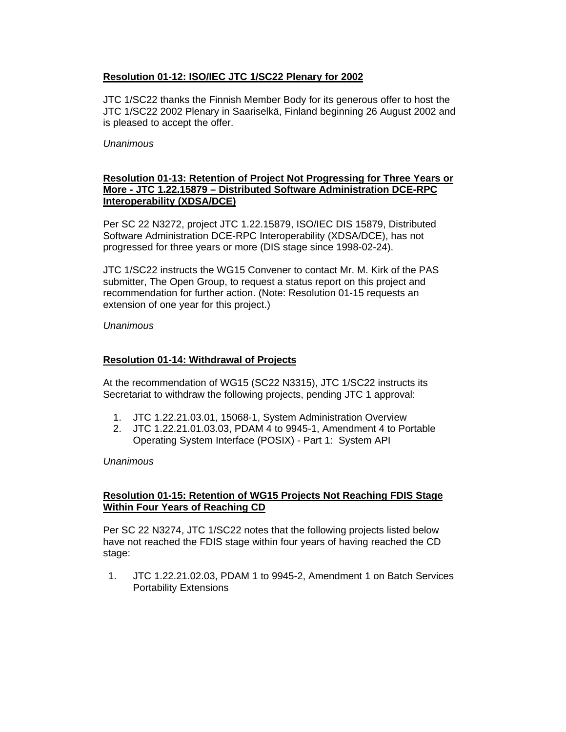## **Resolution 01-12: ISO/IEC JTC 1/SC22 Plenary for 2002**

JTC 1/SC22 thanks the Finnish Member Body for its generous offer to host the JTC 1/SC22 2002 Plenary in Saariselkä, Finland beginning 26 August 2002 and is pleased to accept the offer.

#### *Unanimous*

### **Resolution 01-13: Retention of Project Not Progressing for Three Years or More - JTC 1.22.15879 – Distributed Software Administration DCE-RPC Interoperability (XDSA/DCE)**

Per SC 22 N3272, project JTC 1.22.15879, ISO/IEC DIS 15879, Distributed Software Administration DCE-RPC Interoperability (XDSA/DCE), has not progressed for three years or more (DIS stage since 1998-02-24).

JTC 1/SC22 instructs the WG15 Convener to contact Mr. M. Kirk of the PAS submitter, The Open Group, to request a status report on this project and recommendation for further action. (Note: Resolution 01-15 requests an extension of one year for this project.)

*Unanimous*

### **Resolution 01-14: Withdrawal of Projects**

At the recommendation of WG15 (SC22 N3315), JTC 1/SC22 instructs its Secretariat to withdraw the following projects, pending JTC 1 approval:

- 1. JTC 1.22.21.03.01, 15068-1, System Administration Overview
- 2. JTC 1.22.21.01.03.03, PDAM 4 to 9945-1, Amendment 4 to Portable Operating System Interface (POSIX) - Part 1: System API

*Unanimous*

# **Resolution 01-15: Retention of WG15 Projects Not Reaching FDIS Stage Within Four Years of Reaching CD**

Per SC 22 N3274, JTC 1/SC22 notes that the following projects listed below have not reached the FDIS stage within four years of having reached the CD stage:

1. JTC 1.22.21.02.03, PDAM 1 to 9945-2, Amendment 1 on Batch Services Portability Extensions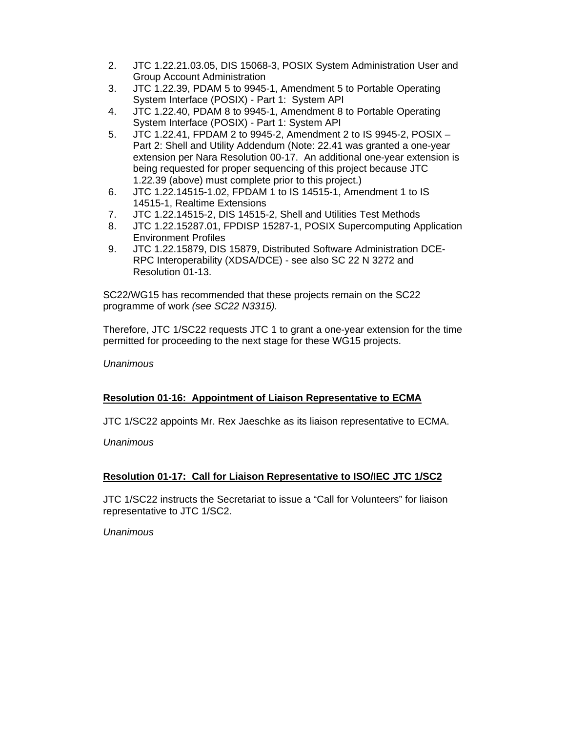- 2. JTC 1.22.21.03.05, DIS 15068-3, POSIX System Administration User and Group Account Administration
- 3. JTC 1.22.39, PDAM 5 to 9945-1, Amendment 5 to Portable Operating System Interface (POSIX) - Part 1: System API
- 4. JTC 1.22.40, PDAM 8 to 9945-1, Amendment 8 to Portable Operating System Interface (POSIX) - Part 1: System API
- 5. JTC 1.22.41, FPDAM 2 to 9945-2, Amendment 2 to IS 9945-2, POSIX Part 2: Shell and Utility Addendum (Note: 22.41 was granted a one-year extension per Nara Resolution 00-17. An additional one-year extension is being requested for proper sequencing of this project because JTC 1.22.39 (above) must complete prior to this project.)
- 6. JTC 1.22.14515-1.02, FPDAM 1 to IS 14515-1, Amendment 1 to IS 14515-1, Realtime Extensions
- 7. JTC 1.22.14515-2, DIS 14515-2, Shell and Utilities Test Methods
- 8. JTC 1.22.15287.01, FPDISP 15287-1, POSIX Supercomputing Application Environment Profiles
- 9. JTC 1.22.15879, DIS 15879, Distributed Software Administration DCE-RPC Interoperability (XDSA/DCE) - see also SC 22 N 3272 and Resolution 01-13.

SC22/WG15 has recommended that these projects remain on the SC22 programme of work *(see SC22 N3315).*

Therefore, JTC 1/SC22 requests JTC 1 to grant a one-year extension for the time permitted for proceeding to the next stage for these WG15 projects.

*Unanimous*

# **Resolution 01-16: Appointment of Liaison Representative to ECMA**

JTC 1/SC22 appoints Mr. Rex Jaeschke as its liaison representative to ECMA.

*Unanimous*

# **Resolution 01-17: Call for Liaison Representative to ISO/IEC JTC 1/SC2**

JTC 1/SC22 instructs the Secretariat to issue a "Call for Volunteers" for liaison representative to JTC 1/SC2.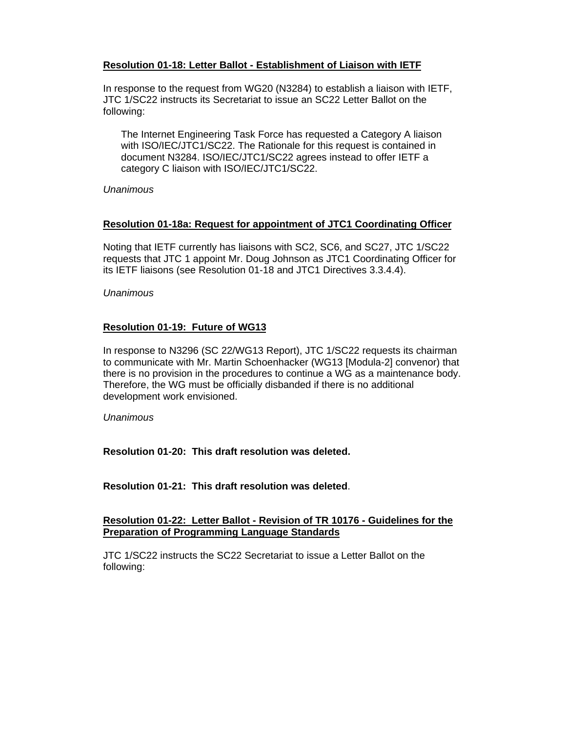## **Resolution 01-18: Letter Ballot - Establishment of Liaison with IETF**

In response to the request from WG20 (N3284) to establish a liaison with IETF, JTC 1/SC22 instructs its Secretariat to issue an SC22 Letter Ballot on the following:

The Internet Engineering Task Force has requested a Category A liaison with ISO/IEC/JTC1/SC22. The Rationale for this request is contained in document N3284. ISO/IEC/JTC1/SC22 agrees instead to offer IETF a category C liaison with ISO/IEC/JTC1/SC22.

*Unanimous*

# **Resolution 01-18a: Request for appointment of JTC1 Coordinating Officer**

Noting that IETF currently has liaisons with SC2, SC6, and SC27, JTC 1/SC22 requests that JTC 1 appoint Mr. Doug Johnson as JTC1 Coordinating Officer for its IETF liaisons (see Resolution 01-18 and JTC1 Directives 3.3.4.4).

*Unanimous*

# **Resolution 01-19: Future of WG13**

In response to N3296 (SC 22/WG13 Report), JTC 1/SC22 requests its chairman to communicate with Mr. Martin Schoenhacker (WG13 [Modula-2] convenor) that there is no provision in the procedures to continue a WG as a maintenance body. Therefore, the WG must be officially disbanded if there is no additional development work envisioned.

*Unanimous*

**Resolution 01-20: This draft resolution was deleted.**

**Resolution 01-21: This draft resolution was deleted**.

### **Resolution 01-22: Letter Ballot - Revision of TR 10176 - Guidelines for the Preparation of Programming Language Standards**

JTC 1/SC22 instructs the SC22 Secretariat to issue a Letter Ballot on the following: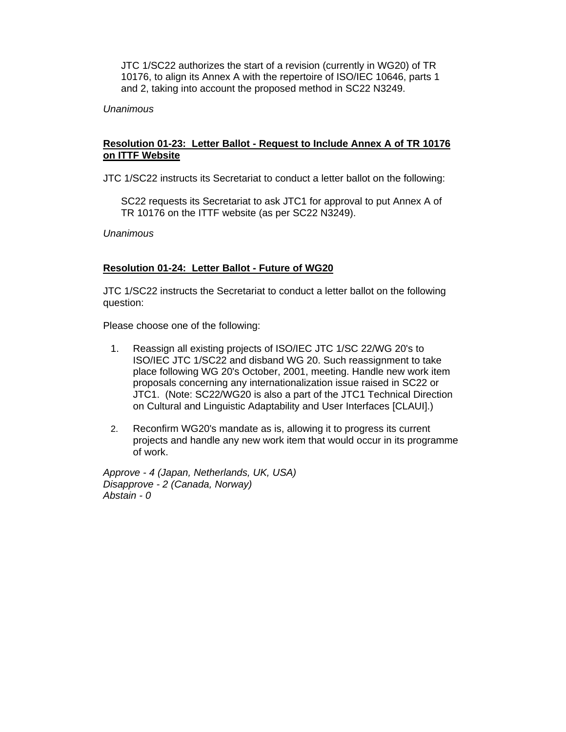JTC 1/SC22 authorizes the start of a revision (currently in WG20) of TR 10176, to align its Annex A with the repertoire of ISO/IEC 10646, parts 1 and 2, taking into account the proposed method in SC22 N3249.

### *Unanimous*

### **Resolution 01-23: Letter Ballot - Request to Include Annex A of TR 10176 on ITTF Website**

JTC 1/SC22 instructs its Secretariat to conduct a letter ballot on the following:

SC22 requests its Secretariat to ask JTC1 for approval to put Annex A of TR 10176 on the ITTF website (as per SC22 N3249).

*Unanimous*

#### **Resolution 01-24: Letter Ballot - Future of WG20**

JTC 1/SC22 instructs the Secretariat to conduct a letter ballot on the following question:

Please choose one of the following:

- 1. Reassign all existing projects of ISO/IEC JTC 1/SC 22/WG 20's to ISO/IEC JTC 1/SC22 and disband WG 20. Such reassignment to take place following WG 20's October, 2001, meeting. Handle new work item proposals concerning any internationalization issue raised in SC22 or JTC1. (Note: SC22/WG20 is also a part of the JTC1 Technical Direction on Cultural and Linguistic Adaptability and User Interfaces [CLAUI].)
- 2. Reconfirm WG20's mandate as is, allowing it to progress its current projects and handle any new work item that would occur in its programme of work.

*Approve - 4 (Japan, Netherlands, UK, USA) Disapprove - 2 (Canada, Norway) Abstain - 0*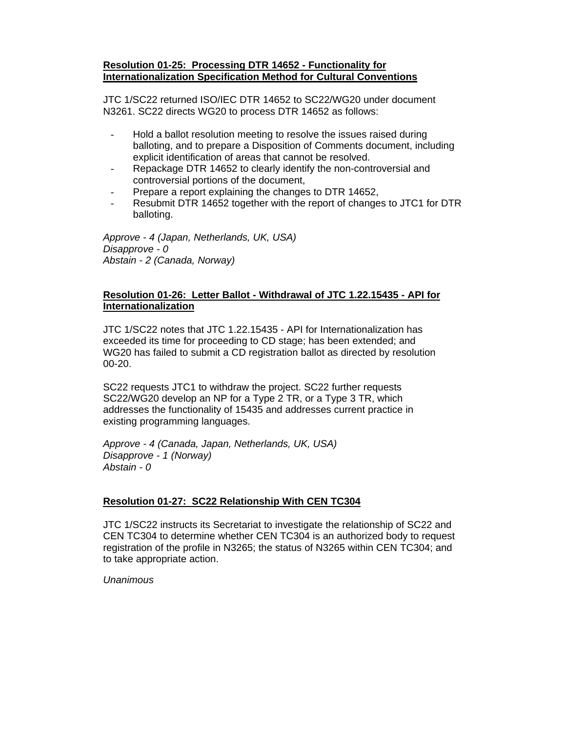#### **Resolution 01-25: Processing DTR 14652 - Functionality for Internationalization Specification Method for Cultural Conventions**

JTC 1/SC22 returned ISO/IEC DTR 14652 to SC22/WG20 under document N3261. SC22 directs WG20 to process DTR 14652 as follows:

- Hold a ballot resolution meeting to resolve the issues raised during balloting, and to prepare a Disposition of Comments document, including explicit identification of areas that cannot be resolved.
- Repackage DTR 14652 to clearly identify the non-controversial and controversial portions of the document,
- Prepare a report explaining the changes to DTR 14652,
- Resubmit DTR 14652 together with the report of changes to JTC1 for DTR balloting.

*Approve - 4 (Japan, Netherlands, UK, USA) Disapprove - 0 Abstain - 2 (Canada, Norway)*

## **Resolution 01-26: Letter Ballot - Withdrawal of JTC 1.22.15435 - API for Internationalization**

JTC 1/SC22 notes that JTC 1.22.15435 - API for Internationalization has exceeded its time for proceeding to CD stage; has been extended; and WG20 has failed to submit a CD registration ballot as directed by resolution 00-20.

SC22 requests JTC1 to withdraw the project. SC22 further requests SC22/WG20 develop an NP for a Type 2 TR, or a Type 3 TR, which addresses the functionality of 15435 and addresses current practice in existing programming languages.

*Approve - 4 (Canada, Japan, Netherlands, UK, USA) Disapprove - 1 (Norway) Abstain - 0*

# **Resolution 01-27: SC22 Relationship With CEN TC304**

JTC 1/SC22 instructs its Secretariat to investigate the relationship of SC22 and CEN TC304 to determine whether CEN TC304 is an authorized body to request registration of the profile in N3265; the status of N3265 within CEN TC304; and to take appropriate action.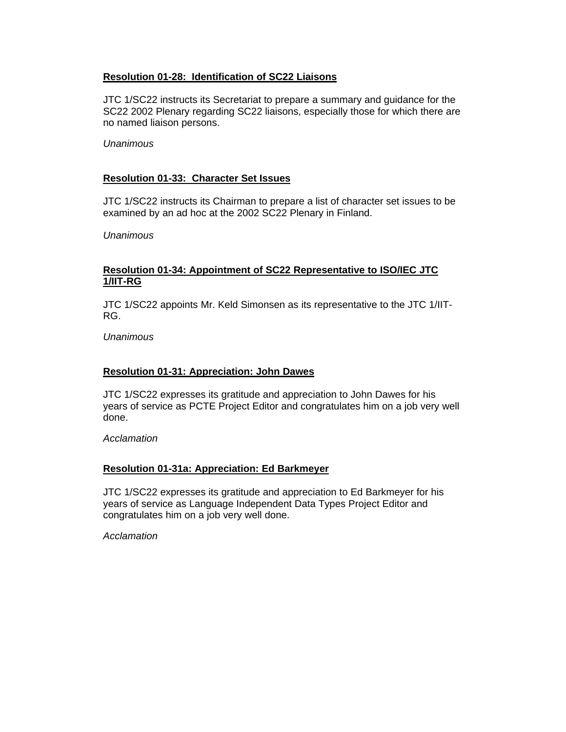### **Resolution 01-28: Identification of SC22 Liaisons**

JTC 1/SC22 instructs its Secretariat to prepare a summary and guidance for the SC22 2002 Plenary regarding SC22 liaisons, especially those for which there are no named liaison persons.

#### *Unanimous*

## **Resolution 01-33: Character Set Issues**

JTC 1/SC22 instructs its Chairman to prepare a list of character set issues to be examined by an ad hoc at the 2002 SC22 Plenary in Finland.

*Unanimous*

## **Resolution 01-34: Appointment of SC22 Representative to ISO/IEC JTC 1/IIT-RG**

JTC 1/SC22 appoints Mr. Keld Simonsen as its representative to the JTC 1/IIT-RG.

#### *Unanimous*

### **Resolution 01-31: Appreciation: John Dawes**

JTC 1/SC22 expresses its gratitude and appreciation to John Dawes for his years of service as PCTE Project Editor and congratulates him on a job very well done.

*Acclamation*

### **Resolution 01-31a: Appreciation: Ed Barkmeyer**

JTC 1/SC22 expresses its gratitude and appreciation to Ed Barkmeyer for his years of service as Language Independent Data Types Project Editor and congratulates him on a job very well done.

*Acclamation*